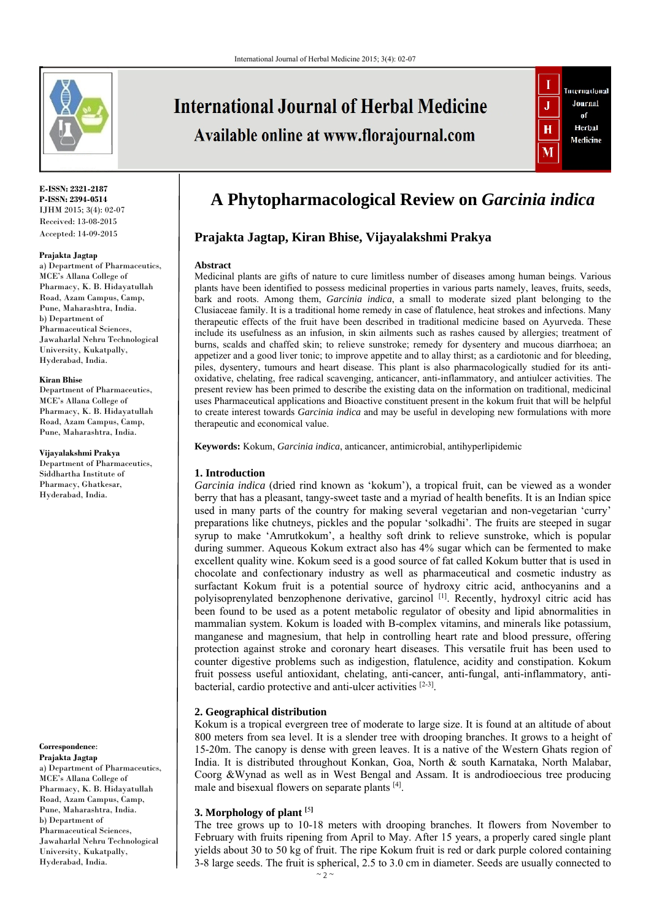

# **International Journal of Herbal Medicine** Available online at www.florajournal.com



#### **E-ISSN: 2321-2187 P-ISSN: 2394-0514**  IJHM 2015; 3(4): 02-07 Received: 13-08-2015 Accepted: 14-09-2015

#### **Prajakta Jagtap**

a) Department of Pharmaceutics, MCE's Allana College of Pharmacy, K. B. Hidayatullah Road, Azam Campus, Camp, Pune, Maharashtra, India. b) Department of Pharmaceutical Sciences, Jawaharlal Nehru Technological University, Kukatpally, Hyderabad, India.

#### **Kiran Bhise**

Department of Pharmaceutics, MCE's Allana College of Pharmacy, K. B. Hidayatullah Road, Azam Campus, Camp, Pune, Maharashtra, India.

#### **Vijayalakshmi Prakya**

Department of Pharmaceutics, Siddhartha Institute of Pharmacy, Ghatkesar, Hyderabad, India.

**Correspondence**: **Prajakta Jagtap** 

a) Department of Pharmaceutics, MCE's Allana College of Pharmacy, K. B. Hidayatullah Road, Azam Campus, Camp, Pune, Maharashtra, India. b) Department of Pharmaceutical Sciences, Jawaharlal Nehru Technological University, Kukatpally, Hyderabad, India.

## **A Phytopharmacological Review on** *Garcinia indica*

### **Prajakta Jagtap, Kiran Bhise, Vijayalakshmi Prakya**

#### **Abstract**

Medicinal plants are gifts of nature to cure limitless number of diseases among human beings. Various plants have been identified to possess medicinal properties in various parts namely, leaves, fruits, seeds, bark and roots. Among them, *Garcinia indica*, a small to moderate sized plant belonging to the Clusiaceae family. It is a traditional home remedy in case of flatulence, heat strokes and infections. Many therapeutic effects of the fruit have been described in traditional medicine based on Ayurveda. These include its usefulness as an infusion, in skin ailments such as rashes caused by allergies; treatment of burns, scalds and chaffed skin; to relieve sunstroke; remedy for dysentery and mucous diarrhoea; an appetizer and a good liver tonic; to improve appetite and to allay thirst; as a cardiotonic and for bleeding, piles, dysentery, tumours and heart disease. This plant is also pharmacologically studied for its antioxidative, chelating, free radical scavenging, anticancer, anti-inflammatory, and antiulcer activities. The present review has been primed to describe the existing data on the information on traditional, medicinal uses Pharmaceutical applications and Bioactive constituent present in the kokum fruit that will be helpful to create interest towards *Garcinia indica* and may be useful in developing new formulations with more therapeutic and economical value.

**Keywords:** Kokum, *Garcinia indica*, anticancer, antimicrobial, antihyperlipidemic

#### **1. Introduction**

*Garcinia indica* (dried rind known as 'kokum'), a tropical fruit, can be viewed as a wonder berry that has a pleasant, tangy-sweet taste and a myriad of health benefits. It is an Indian spice used in many parts of the country for making several vegetarian and non-vegetarian 'curry' preparations like chutneys, pickles and the popular 'solkadhi'. The fruits are steeped in sugar syrup to make 'Amrutkokum', a healthy soft drink to relieve sunstroke, which is popular during summer. Aqueous Kokum extract also has 4% sugar which can be fermented to make excellent quality wine. Kokum seed is a good source of fat called Kokum butter that is used in chocolate and confectionary industry as well as pharmaceutical and cosmetic industry as surfactant Kokum fruit is a potential source of hydroxy citric acid, anthocyanins and a polyisoprenylated benzophenone derivative, garcinol [1]. Recently, hydroxyl citric acid has been found to be used as a potent metabolic regulator of obesity and lipid abnormalities in mammalian system. Kokum is loaded with B-complex vitamins, and minerals like potassium, manganese and magnesium, that help in controlling heart rate and blood pressure, offering protection against stroke and coronary heart diseases. This versatile fruit has been used to counter digestive problems such as indigestion, flatulence, acidity and constipation. Kokum fruit possess useful antioxidant, chelating, anti-cancer, anti-fungal, anti-inflammatory, antibacterial, cardio protective and anti-ulcer activities [2-3].

#### **2. Geographical distribution**

Kokum is a tropical evergreen tree of moderate to large size. It is found at an altitude of about 800 meters from sea level. It is a slender tree with drooping branches. It grows to a height of 15-20m. The canopy is dense with green leaves. It is a native of the Western Ghats region of India. It is distributed throughout Konkan, Goa, North & south Karnataka, North Malabar, Coorg &Wynad as well as in West Bengal and Assam. It is androdioecious tree producing male and bisexual flowers on separate plants [4].

#### **3. Morphology of plant [**5**]**

The tree grows up to 10-18 meters with drooping branches. It flowers from November to February with fruits ripening from April to May. After 15 years, a properly cared single plant yields about 30 to 50 kg of fruit. The ripe Kokum fruit is red or dark purple colored containing 3-8 large seeds. The fruit is spherical, 2.5 to 3.0 cm in diameter. Seeds are usually connected to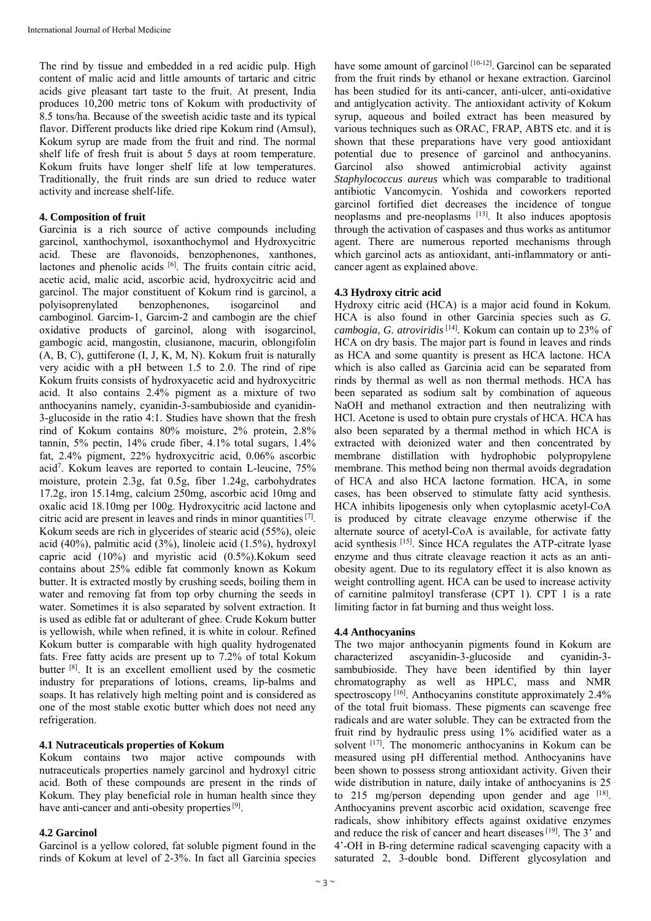The rind by tissue and embedded in a red acidic pulp. High content of malic acid and little amounts of tartaric and citric acids give pleasant tart taste to the fruit. At present, India produces 10,200 metric tons of Kokum with productivity of 8.5 tons/ha. Because of the sweetish acidic taste and its typical flavor. Different products like dried ripe Kokum rind (Amsul), Kokum syrup are made from the fruit and rind. The normal shelf life of fresh fruit is about 5 days at room temperature. Kokum fruits have longer shelf life at low temperatures. Traditionally, the fruit rinds are sun dried to reduce water activity and increase shelf-life.

#### **4. Composition of fruit**

Garcinia is a rich source of active compounds including garcinol, xanthochymol, isoxanthochymol and Hydroxycitric acid. These are flavonoids, benzophenones, xanthones, lactones and phenolic acids [6]. The fruits contain citric acid, acetic acid, malic acid, ascorbic acid, hydroxycitric acid and garcinol. The major constituent of Kokum rind is garcinol, a polyisoprenylated benzophenones, isogarcinol and camboginol. Garcim-1, Garcim-2 and cambogin are the chief oxidative products of garcinol, along with isogarcinol, gambogic acid, mangostin, clusianone, macurin, oblongifolin (A, B, C), guttiferone (I, J, K, M, N). Kokum fruit is naturally very acidic with a pH between 1.5 to 2.0. The rind of ripe Kokum fruits consists of hydroxyacetic acid and hydroxycitric acid. It also contains 2.4% pigment as a mixture of two anthocyanins namely, cyanidin-3-sambubioside and cyanidin-3-glucoside in the ratio 4:1. Studies have shown that the fresh rind of Kokum contains 80% moisture, 2% protein, 2.8% tannin, 5% pectin, 14% crude fiber, 4.1% total sugars, 1.4% fat, 2.4% pigment, 22% hydroxycitric acid, 0.06% ascorbic acid7 . Kokum leaves are reported to contain L-leucine, 75% moisture, protein 2.3g, fat 0.5g, fiber 1.24g, carbohydrates 17.2g, iron 15.14mg, calcium 250mg, ascorbic acid 10mg and oxalic acid 18.10mg per 100g. Hydroxycitric acid lactone and citric acid are present in leaves and rinds in minor quantities [7]. Kokum seeds are rich in glycerides of stearic acid (55%), oleic acid (40%), palmitic acid (3%), linoleic acid (1.5%), hydroxyl capric acid (10%) and myristic acid (0.5%).Kokum seed contains about 25% edible fat commonly known as Kokum butter. It is extracted mostly by crushing seeds, boiling them in water and removing fat from top orby churning the seeds in water. Sometimes it is also separated by solvent extraction. It is used as edible fat or adulterant of ghee. Crude Kokum butter is yellowish, while when refined, it is white in colour. Refined Kokum butter is comparable with high quality hydrogenated fats. Free fatty acids are present up to 7.2% of total Kokum butter <sup>[8]</sup>. It is an excellent emollient used by the cosmetic industry for preparations of lotions, creams, lip-balms and soaps. It has relatively high melting point and is considered as one of the most stable exotic butter which does not need any refrigeration.

#### **4.1 Nutraceuticals properties of Kokum**

Kokum contains two major active compounds with nutraceuticals properties namely garcinol and hydroxyl citric acid. Both of these compounds are present in the rinds of Kokum. They play beneficial role in human health since they have anti-cancer and anti-obesity properties [9].

#### **4.2 Garcinol**

Garcinol is a yellow colored, fat soluble pigment found in the rinds of Kokum at level of 2-3%. In fact all Garcinia species have some amount of garcinol [10-12]. Garcinol can be separated from the fruit rinds by ethanol or hexane extraction. Garcinol has been studied for its anti-cancer, anti-ulcer, anti-oxidative and antiglycation activity. The antioxidant activity of Kokum syrup, aqueous and boiled extract has been measured by various techniques such as ORAC, FRAP, ABTS etc. and it is shown that these preparations have very good antioxidant potential due to presence of garcinol and anthocyanins. Garcinol also showed antimicrobial activity against *Staphylococcus aureus* which was comparable to traditional antibiotic Vancomycin. Yoshida and coworkers reported garcinol fortified diet decreases the incidence of tongue neoplasms and pre-neoplasms [13]. It also induces apoptosis through the activation of caspases and thus works as antitumor agent. There are numerous reported mechanisms through which garcinol acts as antioxidant, anti-inflammatory or anticancer agent as explained above.

#### **4.3 Hydroxy citric acid**

Hydroxy citric acid (HCA) is a major acid found in Kokum. HCA is also found in other Garcinia species such as *G. cambogia, G. atroviridis* [14]*.* Kokum can contain up to 23% of HCA on dry basis. The major part is found in leaves and rinds as HCA and some quantity is present as HCA lactone. HCA which is also called as Garcinia acid can be separated from rinds by thermal as well as non thermal methods. HCA has been separated as sodium salt by combination of aqueous NaOH and methanol extraction and then neutralizing with HCl. Acetone is used to obtain pure crystals of HCA. HCA has also been separated by a thermal method in which HCA is extracted with deionized water and then concentrated by membrane distillation with hydrophobic polypropylene membrane. This method being non thermal avoids degradation of HCA and also HCA lactone formation. HCA, in some cases, has been observed to stimulate fatty acid synthesis. HCA inhibits lipogenesis only when cytoplasmic acetyl-CoA is produced by citrate cleavage enzyme otherwise if the alternate source of acetyl-CoA is available, for activate fatty acid synthesis [15]. Since HCA regulates the ATP-citrate lyase enzyme and thus citrate cleavage reaction it acts as an antiobesity agent. Due to its regulatory effect it is also known as weight controlling agent. HCA can be used to increase activity of carnitine palmitoyl transferase (CPT 1). CPT 1 is a rate limiting factor in fat burning and thus weight loss.

#### **4.4 Anthocyanins**

The two major anthocyanin pigments found in Kokum are characterized ascyanidin-3-glucoside and cyanidin-3 sambubioside. They have been identified by thin layer chromatography as well as HPLC, mass and NMR spectroscopy [16]. Anthocyanins constitute approximately 2.4% of the total fruit biomass. These pigments can scavenge free radicals and are water soluble. They can be extracted from the fruit rind by hydraulic press using 1% acidified water as a solvent [17]. The monomeric anthocyanins in Kokum can be measured using pH differential method. Anthocyanins have been shown to possess strong antioxidant activity. Given their wide distribution in nature, daily intake of anthocyanins is 25 to 215 mg/person depending upon gender and age  $[18]$ . Anthocyanins prevent ascorbic acid oxidation, scavenge free radicals, show inhibitory effects against oxidative enzymes and reduce the risk of cancer and heart diseases [19]. The 3' and 4'-OH in B-ring determine radical scavenging capacity with a saturated 2, 3-double bond. Different glycosylation and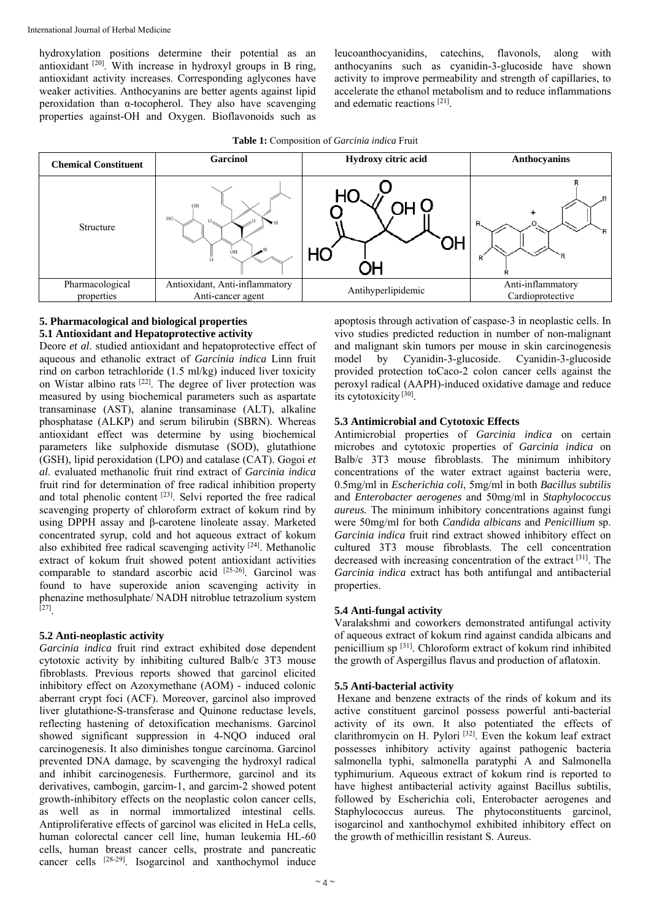hydroxylation positions determine their potential as an antioxidant [20]. With increase in hydroxyl groups in B ring, antioxidant activity increases. Corresponding aglycones have weaker activities. Anthocyanins are better agents against lipid peroxidation than  $\alpha$ -tocopherol. They also have scavenging properties against-OH and Oxygen. Bioflavonoids such as leucoanthocyanidins, catechins, flavonols, along with anthocyanins such as cyanidin-3-glucoside have shown activity to improve permeability and strength of capillaries, to accelerate the ethanol metabolism and to reduce inflammations and edematic reactions [21].



#### **5. Pharmacological and biological properties 5.1 Antioxidant and Hepatoprotective activity**

Deore *et al*. studied antioxidant and hepatoprotective effect of aqueous and ethanolic extract of *Garcinia indica* Linn fruit rind on carbon tetrachloride (1.5 ml/kg) induced liver toxicity on Wistar albino rats [22]. The degree of liver protection was measured by using biochemical parameters such as aspartate transaminase (AST), alanine transaminase (ALT), alkaline phosphatase (ALKP) and serum bilirubin (SBRN). Whereas antioxidant effect was determine by using biochemical parameters like sulphoxide dismutase (SOD), glutathione (GSH), lipid peroxidation (LPO) and catalase (CAT). Gogoi *et al*. evaluated methanolic fruit rind extract of *Garcinia indica* fruit rind for determination of free radical inhibition property and total phenolic content [23]. Selvi reported the free radical scavenging property of chloroform extract of kokum rind by using DPPH assay and β-carotene linoleate assay. Marketed concentrated syrup, cold and hot aqueous extract of kokum also exhibited free radical scavenging activity [24]. Methanolic extract of kokum fruit showed potent antioxidant activities comparable to standard ascorbic acid [25-26]. Garcinol was found to have superoxide anion scavenging activity in phenazine methosulphate/ NADH nitroblue tetrazolium system [27].

#### **5.2 Anti-neoplastic activity**

*Garcinia indica* fruit rind extract exhibited dose dependent cytotoxic activity by inhibiting cultured Balb/c 3T3 mouse fibroblasts. Previous reports showed that garcinol elicited inhibitory effect on Azoxymethane (AOM) - induced colonic aberrant crypt foci (ACF). Moreover, garcinol also improved liver glutathione-S-transferase and Quinone reductase levels, reflecting hastening of detoxification mechanisms. Garcinol showed significant suppression in 4-NQO induced oral carcinogenesis. It also diminishes tongue carcinoma. Garcinol prevented DNA damage, by scavenging the hydroxyl radical and inhibit carcinogenesis. Furthermore, garcinol and its derivatives, cambogin, garcim-1, and garcim-2 showed potent growth-inhibitory effects on the neoplastic colon cancer cells, as well as in normal immortalized intestinal cells. Antiproliferative effects of garcinol was elicited in HeLa cells, human colorectal cancer cell line, human leukemia HL-60 cells, human breast cancer cells, prostrate and pancreatic cancer cells [28-29]. Isogarcinol and xanthochymol induce

apoptosis through activation of caspase-3 in neoplastic cells. In vivo studies predicted reduction in number of non-malignant and malignant skin tumors per mouse in skin carcinogenesis model by Cyanidin-3-glucoside. Cyanidin-3-glucoside provided protection toCaco-2 colon cancer cells against the peroxyl radical (AAPH)-induced oxidative damage and reduce its cytotoxicity [30].

#### **5.3 Antimicrobial and Cytotoxic Effects**

Antimicrobial properties of *Garcinia indica* on certain microbes and cytotoxic properties of *Garcinia indica* on Balb/c 3T3 mouse fibroblasts. The minimum inhibitory concentrations of the water extract against bacteria were, 0.5mg/ml in *Escherichia coli*, 5mg/ml in both *Bacillus subtilis*  and *Enterobacter aerogenes* and 50mg/ml in *Staphylococcus aureus.* The minimum inhibitory concentrations against fungi were 50mg/ml for both *Candida albicans* and *Penicillium* sp. *Garcinia indica* fruit rind extract showed inhibitory effect on cultured 3T3 mouse fibroblasts. The cell concentration decreased with increasing concentration of the extract [31]. The *Garcinia indica* extract has both antifungal and antibacterial properties.

#### **5.4 Anti-fungal activity**

Varalakshmi and coworkers demonstrated antifungal activity of aqueous extract of kokum rind against candida albicans and penicillium sp [31]. Chloroform extract of kokum rind inhibited the growth of Aspergillus flavus and production of aflatoxin.

#### **5.5 Anti-bacterial activity**

 Hexane and benzene extracts of the rinds of kokum and its active constituent garcinol possess powerful anti-bacterial activity of its own. It also potentiated the effects of clarithromycin on H. Pylori<sup>[32]</sup>. Even the kokum leaf extract possesses inhibitory activity against pathogenic bacteria salmonella typhi, salmonella paratyphi A and Salmonella typhimurium. Aqueous extract of kokum rind is reported to have highest antibacterial activity against Bacillus subtilis, followed by Escherichia coli, Enterobacter aerogenes and Staphylococcus aureus. The phytoconstituents garcinol, isogarcinol and xanthochymol exhibited inhibitory effect on the growth of methicillin resistant S. Aureus.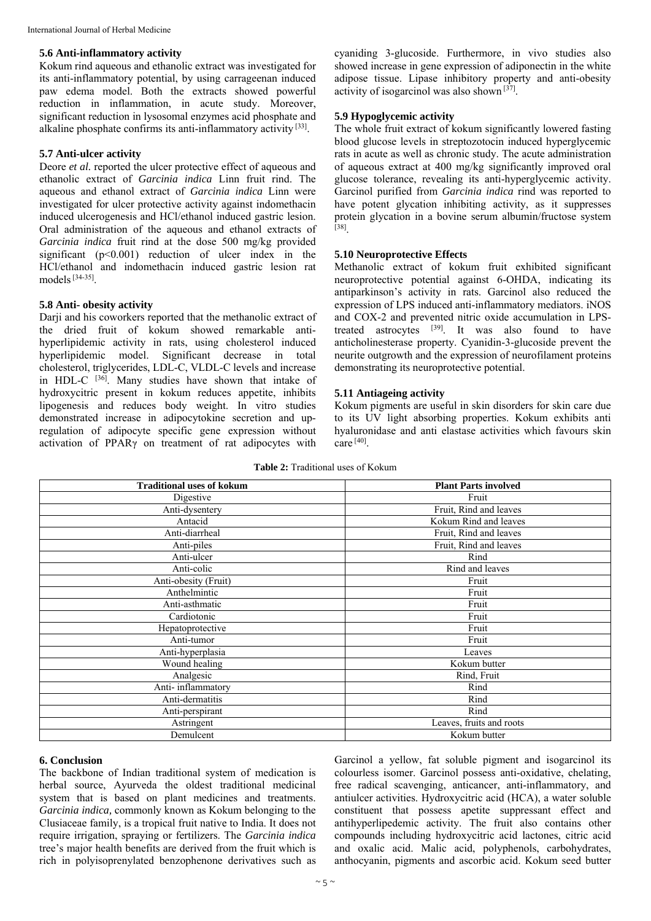#### **5.6 Anti-inflammatory activity**

Kokum rind aqueous and ethanolic extract was investigated for its anti-inflammatory potential, by using carrageenan induced paw edema model. Both the extracts showed powerful reduction in inflammation, in acute study. Moreover, significant reduction in lysosomal enzymes acid phosphate and alkaline phosphate confirms its anti-inflammatory activity [33].

#### **5.7 Anti-ulcer activity**

Deore *et al.* reported the ulcer protective effect of aqueous and ethanolic extract of *Garcinia indica* Linn fruit rind. The aqueous and ethanol extract of *Garcinia indica* Linn were investigated for ulcer protective activity against indomethacin induced ulcerogenesis and HCl/ethanol induced gastric lesion. Oral administration of the aqueous and ethanol extracts of *Garcinia indica* fruit rind at the dose 500 mg/kg provided significant  $(p<0.001)$  reduction of ulcer index in the HCl/ethanol and indomethacin induced gastric lesion rat models  $[34-35]$ 

#### **5.8 Anti- obesity activity**

Darji and his coworkers reported that the methanolic extract of the dried fruit of kokum showed remarkable antihyperlipidemic activity in rats, using cholesterol induced hyperlipidemic model. Significant decrease in total cholesterol, triglycerides, LDL-C, VLDL-C levels and increase in HDL-C  $^{[36]}$ . Many studies have shown that intake of hydroxycitric present in kokum reduces appetite, inhibits lipogenesis and reduces body weight. In vitro studies demonstrated increase in adipocytokine secretion and upregulation of adipocyte specific gene expression without activation of PPARγ on treatment of rat adipocytes with cyaniding 3-glucoside. Furthermore, in vivo studies also showed increase in gene expression of adiponectin in the white adipose tissue. Lipase inhibitory property and anti-obesity activity of isogarcinol was also shown  $\left[37\right]$ .

#### **5.9 Hypoglycemic activity**

The whole fruit extract of kokum significantly lowered fasting blood glucose levels in streptozotocin induced hyperglycemic rats in acute as well as chronic study. The acute administration of aqueous extract at 400 mg/kg significantly improved oral glucose tolerance, revealing its anti-hyperglycemic activity. Garcinol purified from *Garcinia indica* rind was reported to have potent glycation inhibiting activity, as it suppresses protein glycation in a bovine serum albumin/fructose system [38].

#### **5.10 Neuroprotective Effects**

Methanolic extract of kokum fruit exhibited significant neuroprotective potential against 6-OHDA, indicating its antiparkinson's activity in rats. Garcinol also reduced the expression of LPS induced anti-inflammatory mediators. iNOS and COX-2 and prevented nitric oxide accumulation in LPStreated astrocytes [39]. It was also found to have anticholinesterase property. Cyanidin-3-glucoside prevent the neurite outgrowth and the expression of neurofilament proteins demonstrating its neuroprotective potential.

#### **5.11 Antiageing activity**

Kokum pigments are useful in skin disorders for skin care due to its UV light absorbing properties. Kokum exhibits anti hyaluronidase and anti elastase activities which favours skin  $care^{[40]}$ 

| <b>Traditional uses of kokum</b> | <b>Plant Parts involved</b> |
|----------------------------------|-----------------------------|
| Digestive                        | Fruit                       |
| Anti-dysentery                   | Fruit, Rind and leaves      |
| Antacid                          | Kokum Rind and leaves       |
| Anti-diarrheal                   | Fruit, Rind and leaves      |
| Anti-piles                       | Fruit, Rind and leaves      |
| Anti-ulcer                       | Rind                        |
| Anti-colic                       | Rind and leaves             |
| Anti-obesity (Fruit)             | Fruit                       |
| Anthelmintic                     | Fruit                       |
| Anti-asthmatic                   | Fruit                       |
| Cardiotonic                      | Fruit                       |
| Hepatoprotective                 | Fruit                       |
| Anti-tumor                       | Fruit                       |
| Anti-hyperplasia                 | Leaves                      |
| Wound healing                    | Kokum butter                |
| Analgesic                        | Rind, Fruit                 |
| Anti-inflammatory                | Rind                        |
| Anti-dermatitis                  | Rind                        |
| Anti-perspirant                  | Rind                        |
| Astringent                       | Leaves, fruits and roots    |
| Demulcent                        | Kokum butter                |

#### **Table 2:** Traditional uses of Kokum

#### **6. Conclusion**

The backbone of Indian traditional system of medication is herbal source, Ayurveda the oldest traditional medicinal system that is based on plant medicines and treatments. *Garcinia indica,* commonly known as Kokum belonging to the Clusiaceae family, is a tropical fruit native to India. It does not require irrigation, spraying or fertilizers. The *Garcinia indica* tree's major health benefits are derived from the fruit which is rich in polyisoprenylated benzophenone derivatives such as

Garcinol a yellow, fat soluble pigment and isogarcinol its colourless isomer. Garcinol possess anti-oxidative, chelating, free radical scavenging, anticancer, anti-inflammatory, and antiulcer activities. Hydroxycitric acid (HCA), a water soluble constituent that possess apetite suppressant effect and antihyperlipedemic activity. The fruit also contains other compounds including hydroxycitric acid lactones, citric acid and oxalic acid. Malic acid, polyphenols, carbohydrates, anthocyanin, pigments and ascorbic acid. Kokum seed butter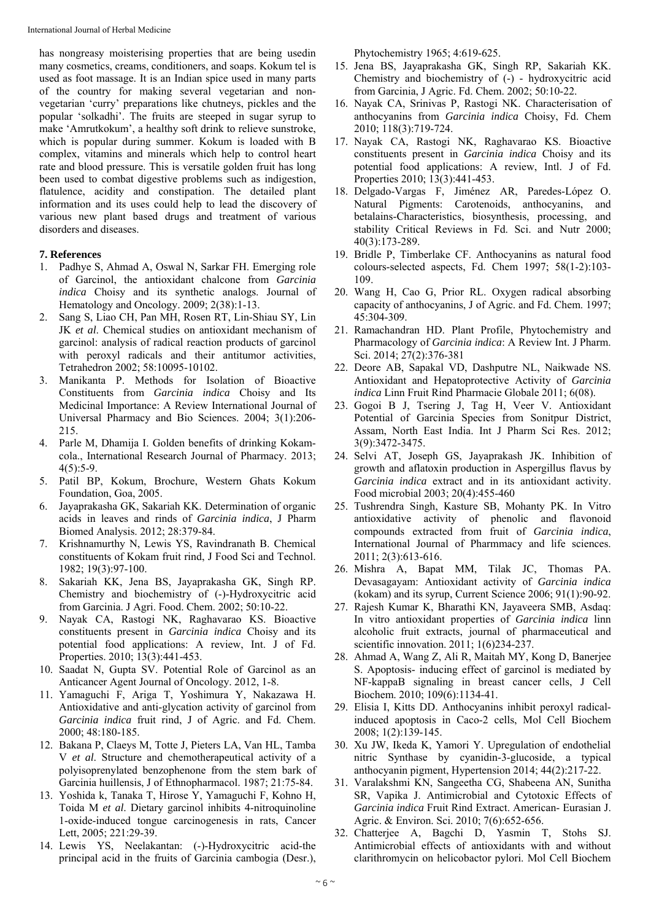has nongreasy moisterising properties that are being usedin many cosmetics, creams, conditioners, and soaps. Kokum tel is used as foot massage. It is an Indian spice used in many parts of the country for making several vegetarian and nonvegetarian 'curry' preparations like chutneys, pickles and the popular 'solkadhi'. The fruits are steeped in sugar syrup to make 'Amrutkokum', a healthy soft drink to relieve sunstroke, which is popular during summer. Kokum is loaded with B complex, vitamins and minerals which help to control heart rate and blood pressure. This is versatile golden fruit has long been used to combat digestive problems such as indigestion, flatulence, acidity and constipation. The detailed plant information and its uses could help to lead the discovery of various new plant based drugs and treatment of various disorders and diseases.

#### **7. References**

- 1. Padhye S, Ahmad A, Oswal N, Sarkar FH. Emerging role of Garcinol, the antioxidant chalcone from *Garcinia indica* Choisy and its synthetic analogs. Journal of Hematology and Oncology. 2009; 2(38):1-13.
- 2. Sang S, Liao CH, Pan MH, Rosen RT, Lin-Shiau SY, Lin JK *et al*. Chemical studies on antioxidant mechanism of garcinol: analysis of radical reaction products of garcinol with peroxyl radicals and their antitumor activities, Tetrahedron 2002; 58:10095-10102.
- 3. Manikanta P. Methods for Isolation of Bioactive Constituents from *Garcinia indica* Choisy and Its Medicinal Importance: A Review International Journal of Universal Pharmacy and Bio Sciences. 2004; 3(1):206- 215.
- 4. Parle M, Dhamija I. Golden benefits of drinking Kokamcola., International Research Journal of Pharmacy. 2013;  $4(5):5-9.$
- 5. Patil BP, Kokum, Brochure, Western Ghats Kokum Foundation, Goa, 2005.
- 6. Jayaprakasha GK, Sakariah KK. Determination of organic acids in leaves and rinds of *Garcinia indica*, J Pharm Biomed Analysis. 2012; 28:379-84.
- 7. Krishnamurthy N, Lewis YS, Ravindranath B. Chemical constituents of Kokam fruit rind, J Food Sci and Technol. 1982; 19(3):97-100.
- 8. Sakariah KK, Jena BS, Jayaprakasha GK, Singh RP. Chemistry and biochemistry of (-)-Hydroxycitric acid from Garcinia. J Agri. Food. Chem. 2002; 50:10-22.
- 9. Nayak CA, Rastogi NK, Raghavarao KS. Bioactive constituents present in *Garcinia indica* Choisy and its potential food applications: A review, Int. J of Fd. Properties. 2010; 13(3):441-453.
- 10. Saadat N, Gupta SV. Potential Role of Garcinol as an Anticancer Agent Journal of Oncology. 2012, 1-8.
- 11. Yamaguchi F, Ariga T, Yoshimura Y, Nakazawa H. Antioxidative and anti-glycation activity of garcinol from *Garcinia indica* fruit rind, J of Agric. and Fd. Chem. 2000; 48:180-185.
- 12. Bakana P, Claeys M, Totte J, Pieters LA, Van HL, Tamba V *et al*. Structure and chemotherapeutical activity of a polyisoprenylated benzophenone from the stem bark of Garcinia huillensis, J of Ethnopharmacol. 1987; 21:75-84.
- 13. Yoshida k, Tanaka T, Hirose Y, Yamaguchi F, Kohno H, Toida M *et al*. Dietary garcinol inhibits 4-nitroquinoline 1-oxide-induced tongue carcinogenesis in rats, Cancer Lett, 2005; 221:29-39.
- 14. Lewis YS, Neelakantan: (-)-Hydroxycitric acid-the principal acid in the fruits of Garcinia cambogia (Desr.),

Phytochemistry 1965; 4:619-625.

- 15. Jena BS, Jayaprakasha GK, Singh RP, Sakariah KK. Chemistry and biochemistry of (-) - hydroxycitric acid from Garcinia, J Agric. Fd. Chem. 2002; 50:10-22.
- 16. Nayak CA, Srinivas P, Rastogi NK. Characterisation of anthocyanins from *Garcinia indica* Choisy, Fd. Chem 2010; 118(3):719-724.
- 17. Nayak CA, Rastogi NK, Raghavarao KS. Bioactive constituents present in *Garcinia indica* Choisy and its potential food applications: A review, Intl. J of Fd. Properties 2010; 13(3):441-453.
- 18. Delgado-Vargas F, Jiménez AR, Paredes-López O. Natural Pigments: Carotenoids, anthocyanins, and betalains-Characteristics, biosynthesis, processing, and stability Critical Reviews in Fd. Sci. and Nutr 2000; 40(3):173-289.
- 19. Bridle P, Timberlake CF. Anthocyanins as natural food colours-selected aspects, Fd. Chem 1997; 58(1-2):103- 109.
- 20. Wang H, Cao G, Prior RL. Oxygen radical absorbing capacity of anthocyanins, J of Agric. and Fd. Chem. 1997; 45:304-309.
- 21. Ramachandran HD. Plant Profile, Phytochemistry and Pharmacology of *Garcinia indica*: A Review Int. J Pharm. Sci. 2014; 27(2):376-381
- 22. Deore AB, Sapakal VD, Dashputre NL, Naikwade NS. Antioxidant and Hepatoprotective Activity of *Garcinia indica* Linn Fruit Rind Pharmacie Globale 2011; 6(08).
- 23. Gogoi B J, Tsering J, Tag H, Veer V. Antioxidant Potential of Garcinia Species from Sonitpur District, Assam, North East India. Int J Pharm Sci Res. 2012; 3(9):3472-3475.
- 24. Selvi AT, Joseph GS, Jayaprakash JK. Inhibition of growth and aflatoxin production in Aspergillus flavus by *Garcinia indica* extract and in its antioxidant activity. Food microbial 2003; 20(4):455-460
- 25. Tushrendra Singh, Kasture SB, Mohanty PK. In Vitro antioxidative activity of phenolic and flavonoid compounds extracted from fruit of *Garcinia indica*, International Journal of Pharmmacy and life sciences. 2011; 2(3):613-616.
- 26. Mishra A, Bapat MM, Tilak JC, Thomas PA. Devasagayam: Antioxidant activity of *Garcinia indica* (kokam) and its syrup, Current Science 2006; 91(1):90-92.
- 27. Rajesh Kumar K, Bharathi KN, Jayaveera SMB, Asdaq: In vitro antioxidant properties of *Garcinia indica* linn alcoholic fruit extracts, journal of pharmaceutical and scientific innovation. 2011; 1(6)234-237.
- 28. Ahmad A, Wang Z, Ali R, Maitah MY, Kong D, Banerjee S. Apoptosis- inducing effect of garcinol is mediated by NF-kappaB signaling in breast cancer cells, J Cell Biochem. 2010; 109(6):1134-41.
- 29. Elisia I, Kitts DD. Anthocyanins inhibit peroxyl radicalinduced apoptosis in Caco-2 cells, Mol Cell Biochem 2008; 1(2):139-145.
- 30. Xu JW, Ikeda K, Yamori Y. Upregulation of endothelial nitric Synthase by cyanidin-3-glucoside, a typical anthocyanin pigment, Hypertension 2014; 44(2):217-22.
- 31. Varalakshmi KN, Sangeetha CG, Shabeena AN, Sunitha SR, Vapika J. Antimicrobial and Cytotoxic Effects of *Garcinia indica* Fruit Rind Extract. American- Eurasian J. Agric. & Environ. Sci. 2010; 7(6):652-656.
- 32. Chatterjee A, Bagchi D, Yasmin T, Stohs SJ. Antimicrobial effects of antioxidants with and without clarithromycin on helicobactor pylori. Mol Cell Biochem